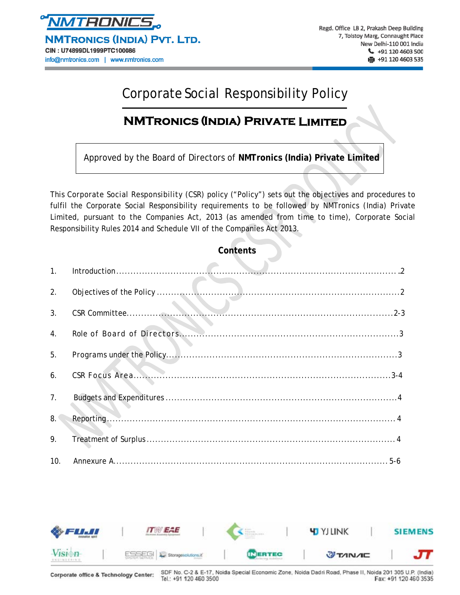

NMTRONICS (INDIA) PVT. LTD. CIN: U74899DL1999PTC100086 info@nmtronics.com | www.nmtronics.com

# Corporate Social Responsibility Policy

# **NMTronics (India) Private Limited**

Approved by the Board of Directors of **NMTronics (India) Private Limited**

This Corporate Social Responsibility (CSR) policy ("Policy") sets out the objectives and procedures to fulfil the Corporate Social Responsibility requirements to be followed by NMTronics (India) Private Limited, pursuant to the Companies Act, 2013 (as amended from time to time), Corporate Social Responsibility Rules 2014 and Schedule VII of the Companies Act 2013.

#### **Contents**

| 1.             |  |
|----------------|--|
| 2.             |  |
| 3 <sub>1</sub> |  |
| 4.             |  |
| 5.             |  |
| 6.             |  |
| 7 <sub>1</sub> |  |
| 8.             |  |
| 9.             |  |
| 10.            |  |

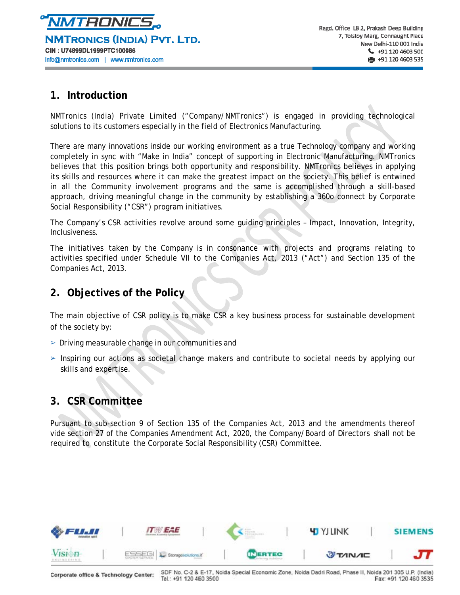

## **1. Introduction**

NMTronics (India) Private Limited ("Company/NMTronics") is engaged in providing technological solutions to its customers especially in the field of Electronics Manufacturing.

There are many innovations inside our working environment as a true Technology company and working completely in sync with "Make in India" concept of supporting in Electronic Manufacturing. NMTronics believes that this position brings both opportunity and responsibility. NMTronics believes in applying its skills and resources where it can make the greatest impact on the society. This belief is entwined in all the Community involvement programs and the same is accomplished through a skill-based approach, driving meaningful change in the community by establishing a 360o connect by Corporate Social Responsibility ("CSR") program initiatives.

The Company's CSR activities revolve around some guiding principles – Impact, Innovation, Integrity, Inclusiveness.

The initiatives taken by the Company is in consonance with projects and programs relating to activities specified under Schedule VII to the Companies Act, 2013 ("Act") and Section 135 of the Companies Act, 2013.

# **2. Objectives of the Policy**

The main objective of CSR policy is to make CSR a key business process for sustainable development of the society by:

- $\triangleright$  Driving measurable change in our communities and
- ➢ Inspiring our actions as societal change makers and contribute to societal needs by applying our skills and expertise.

# **3. CSR Committee**

Pursuant to sub-section 9 of Section 135 of the Companies Act, 2013 and the amendments thereof vide section 27 of the Companies Amendment Act, 2020, the Company/Board of Directors shall not be required to constitute the Corporate Social Responsibility (CSR) Committee.

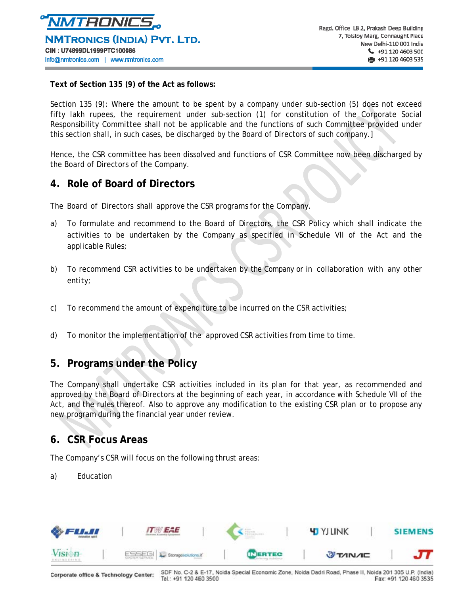

**Text of Section 135 (9) of the Act as follows:** 

Section 135 (9): Where the amount to be spent by a company under sub-section (5) does not exceed fifty lakh rupees, the requirement under sub-section (1) for constitution of the Corporate Social Responsibility Committee shall not be applicable and the functions of such Committee provided under this section shall, in such cases, be discharged by the Board of Directors of such company.]

Hence, the CSR committee has been dissolved and functions of CSR Committee now been discharged by the Board of Directors of the Company.

### **4. Role of Board of Directors**

The Board of Directors shall approve the CSR programs for the Company.

- a) To formulate and recommend to the Board of Directors, the CSR Policy which shall indicate the activities to be undertaken by the Company as specified in Schedule VII of the Act and the applicable Rules;
- b) To recommend CSR activities to be undertaken by the Company or in collaboration with any other entity;
- c) To recommend the amount of expenditure to be incurred on the CSR activities;
- d) To monitor the implementation of the approved CSR activities from time to time.

# **5. Programs under the Policy**

The Company shall undertake CSR activities included in its plan for that year, as recommended and approved by the Board of Directors at the beginning of each year, in accordance with Schedule VII of the Act, and the rules thereof. Also to approve any modification to the existing CSR plan or to propose any new program during the financial year under review.

#### **6. CSR Focus Areas**

The Company's CSR will focus on the following thrust areas:

a) Education

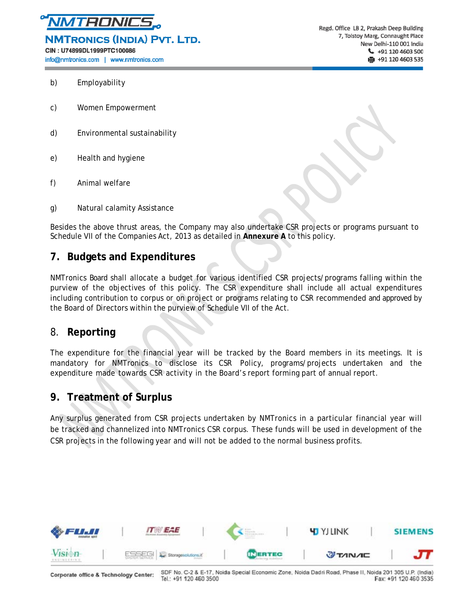

NMTRONICS (INDIA) PVT. LTD.

CIN: U74899DL1999PTC100086

info@nmtronics.com | www.nmtronics.com

Regd. Office LB 2, Prakash Deep Building 7, Tolstoy Marg, Connaught Place New Delhi-110 001 India  $\leftarrow$  +91 120 4603 500 ● +91 120 4603 535

- b) Employability
- c) Women Empowerment
- d) Environmental sustainability
- e) Health and hygiene
- f) Animal welfare
- g) Natural calamity Assistance

Besides the above thrust areas, the Company may also undertake CSR projects or programs pursuant to Schedule VII of the Companies Act, 2013 as detailed in **Annexure A** to this policy.

## **7. Budgets and Expenditures**

NMTronics Board shall allocate a budget for various identified CSR projects/programs falling within the purview of the objectives of this policy. The CSR expenditure shall include all actual expenditures including contribution to corpus or on project or programs relating to CSR recommended and approved by the Board of Directors within the purview of Schedule VII of the Act.

### 8. **Reporting**

The expenditure for the financial year will be tracked by the Board members in its meetings. It is mandatory for NMTronics to disclose its CSR Policy, programs/projects undertaken and the expenditure made towards CSR activity in the Board's report forming part of annual report.

# **9. Treatment of Surplus**

Any surplus generated from CSR projects undertaken by NMTronics in a particular financial year will be tracked and channelized into NMTronics CSR corpus. These funds will be used in development of the CSR projects in the following year and will not be added to the normal business profits.



Corporate office & Technology Center:

SDF No. C-2 & E-17, Noida Special Economic Zone, Noida Dadri Road, Phase II, Noida 201 305 U.P. (India) Tel.: +91 120 460 3500 Fax: +91 120 460 3535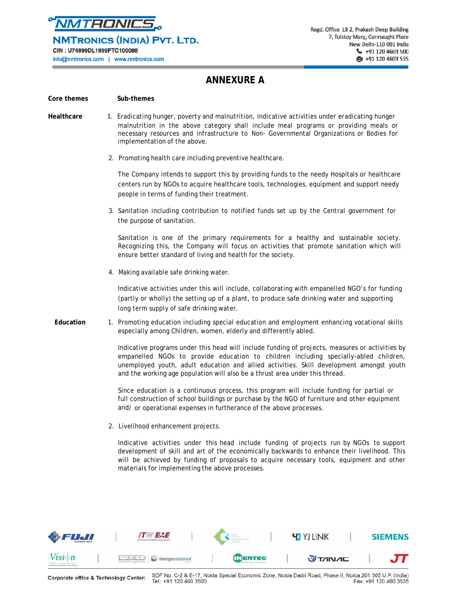

NMTRONICS (INDIA) PVT. LTD.

CIN: U74899DL1999PTC100086

info@nmtronics.com | www.nmtronics.com

# **ANNEXURE A**

#### Core themes **Sub-themes**

- **Healthcare** 1. Eradicating hunger, poverty and malnutrition, Indicative activities under eradicating hunger malnutrition in the above category shall include meal programs or providing meals or necessary resources and infrastructure to Non- Governmental Organizations or Bodies for implementation of the above.
	- 2. Promoting health care including preventive healthcare.

The Company intends to support this by providing funds to the needy Hospitals or healthcare centers run by NGOs to acquire healthcare tools, technologies, equipment and support needy people in terms of funding their treatment.

3. Sanitation including contribution to notified funds set up by the Central government for the purpose of sanitation.

Sanitation is one of the primary requirements for a healthy and sustainable society. Recognizing this, the Company will focus on activities that promote sanitation which will ensure better standard of living and health for the society.

4. Making available safe drinking water.

Indicative activities under this will include, collaborating with empanelled NGO's for funding (partly or wholly) the setting up of a plant, to produce safe drinking water and supporting long term supply of safe drinking water.

**Education** 1. Promoting education including special education and employment enhancing vocational skills especially among Children, women, elderly and differently abled.

> Indicative programs under this head will include funding of projects, measures or activities by empanelled NGOs to provide education to children including specially-abled children, unemployed youth, adult education and allied activities. Skill development amongst youth and the working age population will also be a thrust area under this thread.

Since education is a continuous process, this program will include funding for partial or full construction of school buildings or purchase by the NGO of furniture and other equipment and/ or operational expenses in furtherance of the above processes.

2. Livelihood enhancement projects.

Indicative activities under this head include funding of projects run by NGOs to support development of skill and art of the economically backwards to enhance their livelihood. This will be achieved by funding of proposals to acquire necessary tools, equipment and other materials for implementing the above processes.